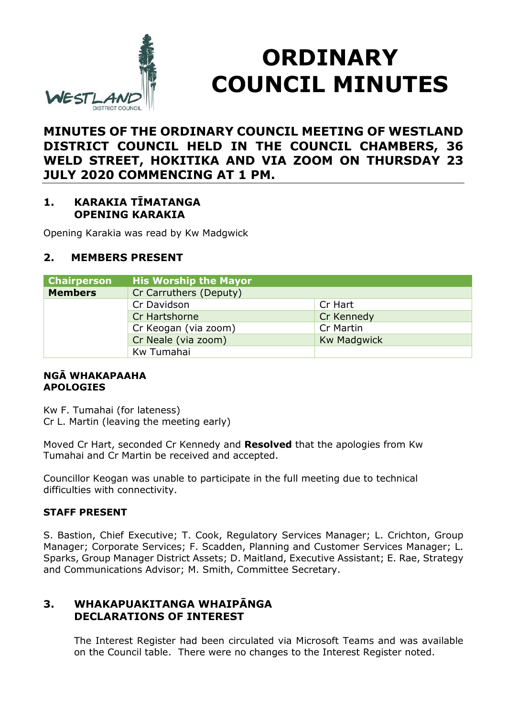

# **ORDINARY COUNCIL MINUTES**

# **MINUTES OF THE ORDINARY COUNCIL MEETING OF WESTLAND DISTRICT COUNCIL HELD IN THE COUNCIL CHAMBERS, 36 WELD STREET, HOKITIKA AND VIA ZOOM ON THURSDAY 23 JULY 2020 COMMENCING AT 1 PM.**

## **1. KARAKIA TĪMATANGA OPENING KARAKIA**

Opening Karakia was read by Kw Madgwick

## **2. MEMBERS PRESENT**

| <b>Chairperson</b>                | <b>His Worship the Mayor</b> |                    |
|-----------------------------------|------------------------------|--------------------|
| <b>Members</b>                    | Cr Carruthers (Deputy)       |                    |
|                                   | Cr Davidson                  | Cr Hart            |
|                                   | Cr Hartshorne                | Cr Kennedy         |
| Cr Keogan (via zoom)<br>Cr Martin |                              |                    |
|                                   | Cr Neale (via zoom)          | <b>Kw Madgwick</b> |
|                                   | Kw Tumahai                   |                    |

#### **NGĀ WHAKAPAAHA APOLOGIES**

Kw F. Tumahai (for lateness) Cr L. Martin (leaving the meeting early)

Moved Cr Hart, seconded Cr Kennedy and **Resolved** that the apologies from Kw Tumahai and Cr Martin be received and accepted.

Councillor Keogan was unable to participate in the full meeting due to technical difficulties with connectivity.

#### **STAFF PRESENT**

S. Bastion, Chief Executive; T. Cook, Regulatory Services Manager; L. Crichton, Group Manager; Corporate Services; F. Scadden, Planning and Customer Services Manager; L. Sparks, Group Manager District Assets; D. Maitland, Executive Assistant; E. Rae, Strategy and Communications Advisor; M. Smith, Committee Secretary.

## **3. WHAKAPUAKITANGA WHAIPĀNGA DECLARATIONS OF INTEREST**

The Interest Register had been circulated via Microsoft Teams and was available on the Council table. There were no changes to the Interest Register noted.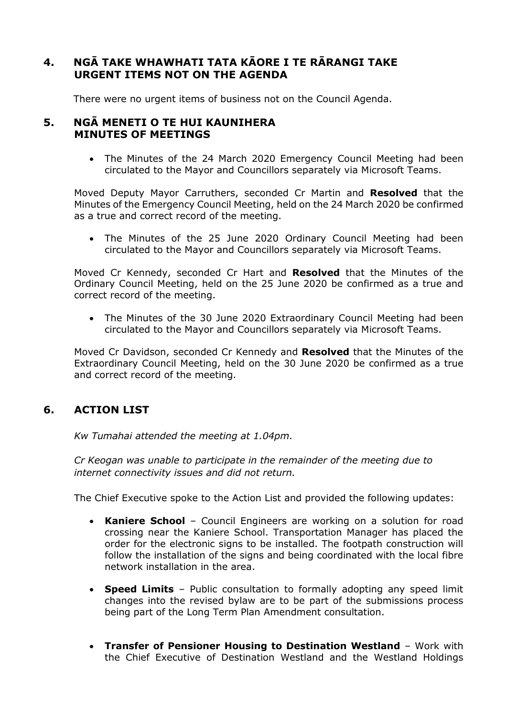## **4. NGĀ TAKE WHAWHATI TATA KĀORE I TE RĀRANGI TAKE URGENT ITEMS NOT ON THE AGENDA**

There were no urgent items of business not on the Council Agenda.

#### **5. NGĀ MENETI O TE HUI KAUNIHERA MINUTES OF MEETINGS**

• The Minutes of the 24 March 2020 Emergency Council Meeting had been circulated to the Mayor and Councillors separately via Microsoft Teams.

Moved Deputy Mayor Carruthers, seconded Cr Martin and **Resolved** that the Minutes of the Emergency Council Meeting, held on the 24 March 2020 be confirmed as a true and correct record of the meeting.

 The Minutes of the 25 June 2020 Ordinary Council Meeting had been circulated to the Mayor and Councillors separately via Microsoft Teams.

Moved Cr Kennedy, seconded Cr Hart and **Resolved** that the Minutes of the Ordinary Council Meeting, held on the 25 June 2020 be confirmed as a true and correct record of the meeting.

 The Minutes of the 30 June 2020 Extraordinary Council Meeting had been circulated to the Mayor and Councillors separately via Microsoft Teams.

Moved Cr Davidson, seconded Cr Kennedy and **Resolved** that the Minutes of the Extraordinary Council Meeting, held on the 30 June 2020 be confirmed as a true and correct record of the meeting.

## **6. ACTION LIST**

*Kw Tumahai attended the meeting at 1.04pm.*

*Cr Keogan was unable to participate in the remainder of the meeting due to internet connectivity issues and did not return.*

The Chief Executive spoke to the Action List and provided the following updates:

- **Kaniere School** Council Engineers are working on a solution for road crossing near the Kaniere School. Transportation Manager has placed the order for the electronic signs to be installed. The footpath construction will follow the installation of the signs and being coordinated with the local fibre network installation in the area.
- **Speed Limits** Public consultation to formally adopting any speed limit changes into the revised bylaw are to be part of the submissions process being part of the Long Term Plan Amendment consultation.
- **Transfer of Pensioner Housing to Destination Westland** Work with the Chief Executive of Destination Westland and the Westland Holdings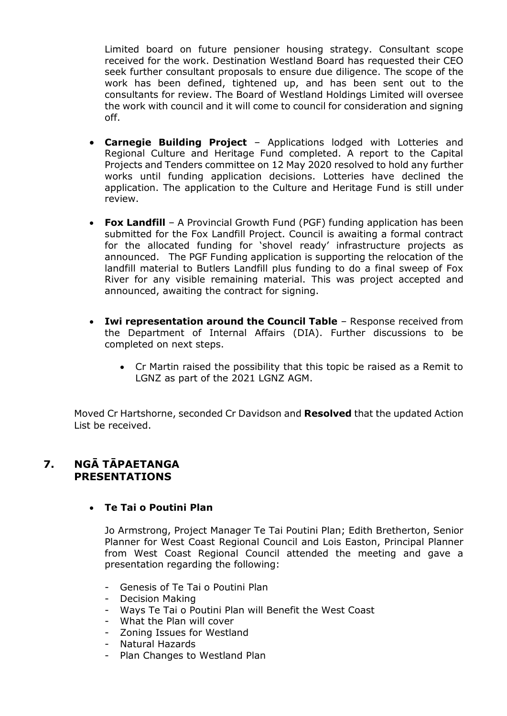Limited board on future pensioner housing strategy. Consultant scope received for the work. Destination Westland Board has requested their CEO seek further consultant proposals to ensure due diligence. The scope of the work has been defined, tightened up, and has been sent out to the consultants for review. The Board of Westland Holdings Limited will oversee the work with council and it will come to council for consideration and signing off.

- **Carnegie Building Project** Applications lodged with Lotteries and Regional Culture and Heritage Fund completed. A report to the Capital Projects and Tenders committee on 12 May 2020 resolved to hold any further works until funding application decisions. Lotteries have declined the application. The application to the Culture and Heritage Fund is still under review.
- **Fox Landfill** A Provincial Growth Fund (PGF) funding application has been submitted for the Fox Landfill Project. Council is awaiting a formal contract for the allocated funding for 'shovel ready' infrastructure projects as announced. The PGF Funding application is supporting the relocation of the landfill material to Butlers Landfill plus funding to do a final sweep of Fox River for any visible remaining material. This was project accepted and announced, awaiting the contract for signing.
- **Iwi representation around the Council Table** Response received from the Department of Internal Affairs (DIA). Further discussions to be completed on next steps.
	- Cr Martin raised the possibility that this topic be raised as a Remit to LGNZ as part of the 2021 LGNZ AGM.

Moved Cr Hartshorne, seconded Cr Davidson and **Resolved** that the updated Action List be received.

## **7. NGĀ TĀPAETANGA PRESENTATIONS**

#### **Te Tai o Poutini Plan**

Jo Armstrong, Project Manager Te Tai Poutini Plan; Edith Bretherton, Senior Planner for West Coast Regional Council and Lois Easton, Principal Planner from West Coast Regional Council attended the meeting and gave a presentation regarding the following:

- Genesis of Te Tai o Poutini Plan
- Decision Making
- Ways Te Tai o Poutini Plan will Benefit the West Coast
- What the Plan will cover
- Zoning Issues for Westland
- Natural Hazards
- Plan Changes to Westland Plan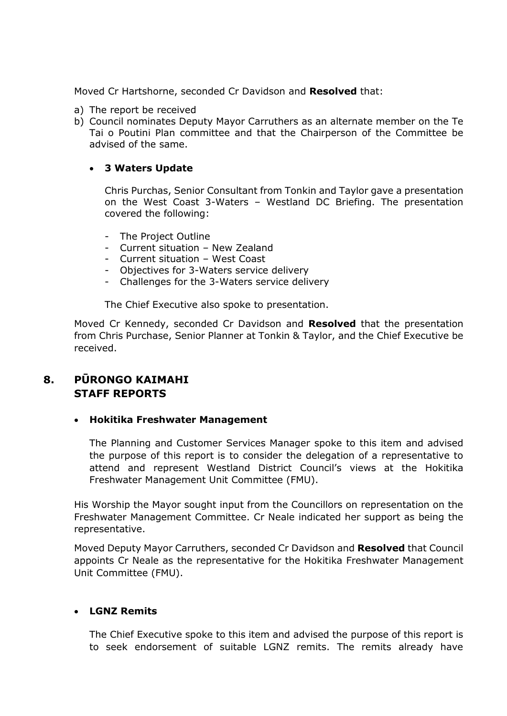Moved Cr Hartshorne, seconded Cr Davidson and **Resolved** that:

- a) The report be received
- b) Council nominates Deputy Mayor Carruthers as an alternate member on the Te Tai o Poutini Plan committee and that the Chairperson of the Committee be advised of the same.

#### **3 Waters Update**

Chris Purchas, Senior Consultant from Tonkin and Taylor gave a presentation on the West Coast 3-Waters – Westland DC Briefing. The presentation covered the following:

- The Project Outline
- Current situation New Zealand
- Current situation West Coast
- Objectives for 3-Waters service delivery
- Challenges for the 3-Waters service delivery

The Chief Executive also spoke to presentation.

Moved Cr Kennedy, seconded Cr Davidson and **Resolved** that the presentation from Chris Purchase, Senior Planner at Tonkin & Taylor, and the Chief Executive be received.

## **8. PŪRONGO KAIMAHI STAFF REPORTS**

#### **Hokitika Freshwater Management**

The Planning and Customer Services Manager spoke to this item and advised the purpose of this report is to consider the delegation of a representative to attend and represent Westland District Council's views at the Hokitika Freshwater Management Unit Committee (FMU).

His Worship the Mayor sought input from the Councillors on representation on the Freshwater Management Committee. Cr Neale indicated her support as being the representative.

Moved Deputy Mayor Carruthers, seconded Cr Davidson and **Resolved** that Council appoints Cr Neale as the representative for the Hokitika Freshwater Management Unit Committee (FMU).

#### **LGNZ Remits**

The Chief Executive spoke to this item and advised the purpose of this report is to seek endorsement of suitable LGNZ remits. The remits already have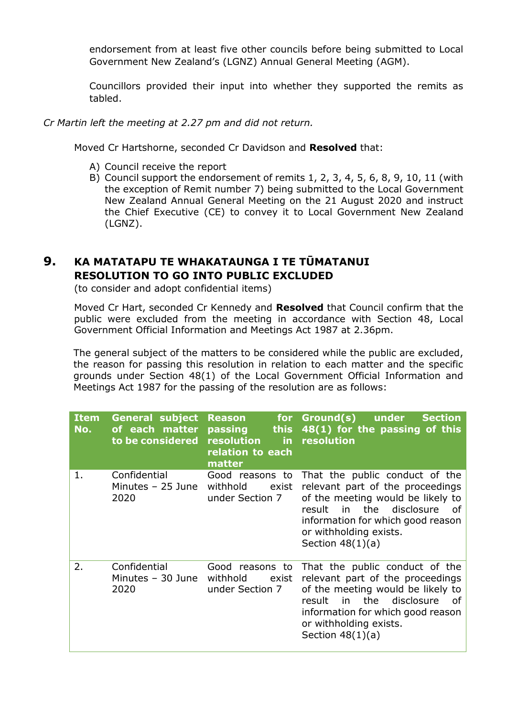endorsement from at least five other councils before being submitted to Local Government New Zealand's (LGNZ) Annual General Meeting (AGM).

Councillors provided their input into whether they supported the remits as tabled.

#### *Cr Martin left the meeting at 2.27 pm and did not return.*

Moved Cr Hartshorne, seconded Cr Davidson and **Resolved** that:

- A) Council receive the report
- B) Council support the endorsement of remits 1, 2, 3, 4, 5, 6, 8, 9, 10, 11 (with the exception of Remit number 7) being submitted to the Local Government New Zealand Annual General Meeting on the 21 August 2020 and instruct the Chief Executive (CE) to convey it to Local Government New Zealand (LGNZ).

## **9. KA MATATAPU TE WHAKATAUNGA I TE TŪMATANUI RESOLUTION TO GO INTO PUBLIC EXCLUDED**

(to consider and adopt confidential items)

 Moved Cr Hart, seconded Cr Kennedy and **Resolved** that Council confirm that the public were excluded from the meeting in accordance with Section 48, Local Government Official Information and Meetings Act 1987 at 2.36pm.

The general subject of the matters to be considered while the public are excluded, the reason for passing this resolution in relation to each matter and the specific grounds under Section 48(1) of the Local Government Official Information and Meetings Act 1987 for the passing of the resolution are as follows:

| <b>Item</b><br>No. | <b>General subject</b><br>of each matter<br>to be considered | <b>Reason</b><br>passing<br><b>this</b><br>resolution<br>in.<br>relation to each<br>matter | for Ground(s)<br>under<br><b>Section</b><br>48(1) for the passing of this<br>resolution                                                                                                                                                 |
|--------------------|--------------------------------------------------------------|--------------------------------------------------------------------------------------------|-----------------------------------------------------------------------------------------------------------------------------------------------------------------------------------------------------------------------------------------|
| 1.                 | Confidential<br>Minutes $-25$ June<br>2020                   | Good reasons to<br>withhold<br>exist<br>under Section 7                                    | That the public conduct of the<br>relevant part of the proceedings<br>of the meeting would be likely to<br>in the disclosure<br>result<br>of<br>information for which good reason<br>or withholding exists.<br>Section $48(1)(a)$       |
| 2.                 | Confidential<br>Minutes - 30 June<br>2020                    | Good reasons to<br>withhold<br>exist<br>under Section 7                                    | That the public conduct of the<br>relevant part of the proceedings<br>of the meeting would be likely to<br>the<br>disclosure<br>result<br>in<br>0f<br>information for which good reason<br>or withholding exists.<br>Section $48(1)(a)$ |